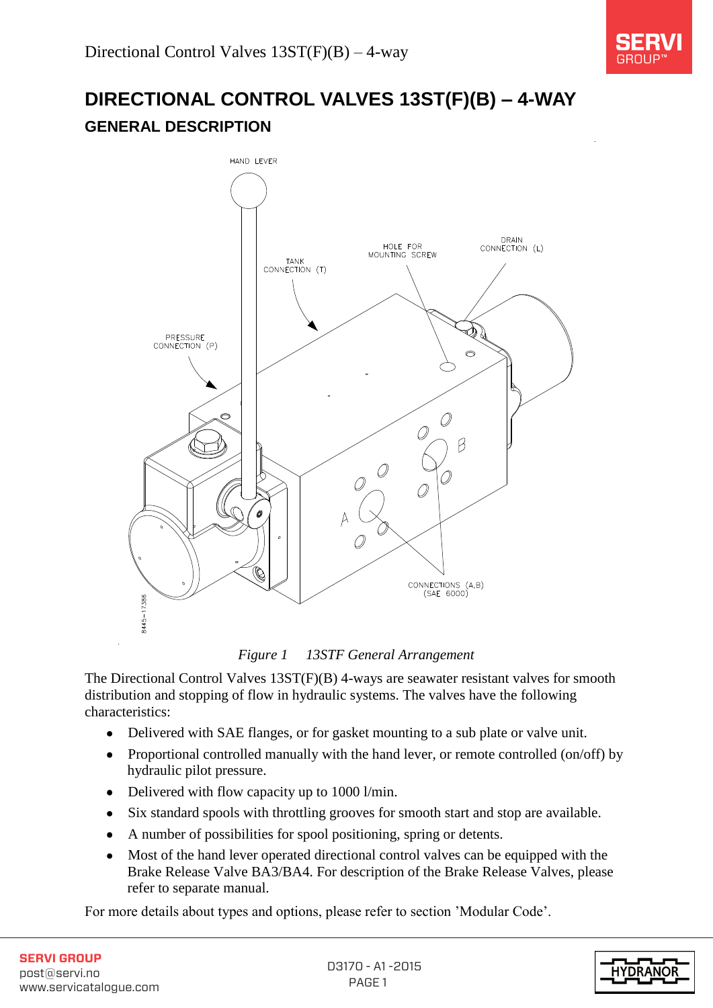

# **DIRECTIONAL CONTROL VALVES 13ST(F)(B) – 4-WAY GENERAL DESCRIPTION**



*Figure 1 13STF General Arrangement* 

The Directional Control Valves 13ST(F)(B) 4-ways are seawater resistant valves for smooth distribution and stopping of flow in hydraulic systems. The valves have the following characteristics:

- Delivered with SAE flanges, or for gasket mounting to a sub plate or valve unit.  $\bullet$
- Proportional controlled manually with the hand lever, or remote controlled (on/off) by hydraulic pilot pressure.
- Delivered with flow capacity up to 1000 l/min.
- Six standard spools with throttling grooves for smooth start and stop are available.  $\bullet$
- A number of possibilities for spool positioning, spring or detents.  $\bullet$
- Most of the hand lever operated directional control valves can be equipped with the Brake Release Valve BA3/BA4. For description of the Brake Release Valves, please refer to separate manual.

For more details about types and options, please refer to section 'Modular Code'.

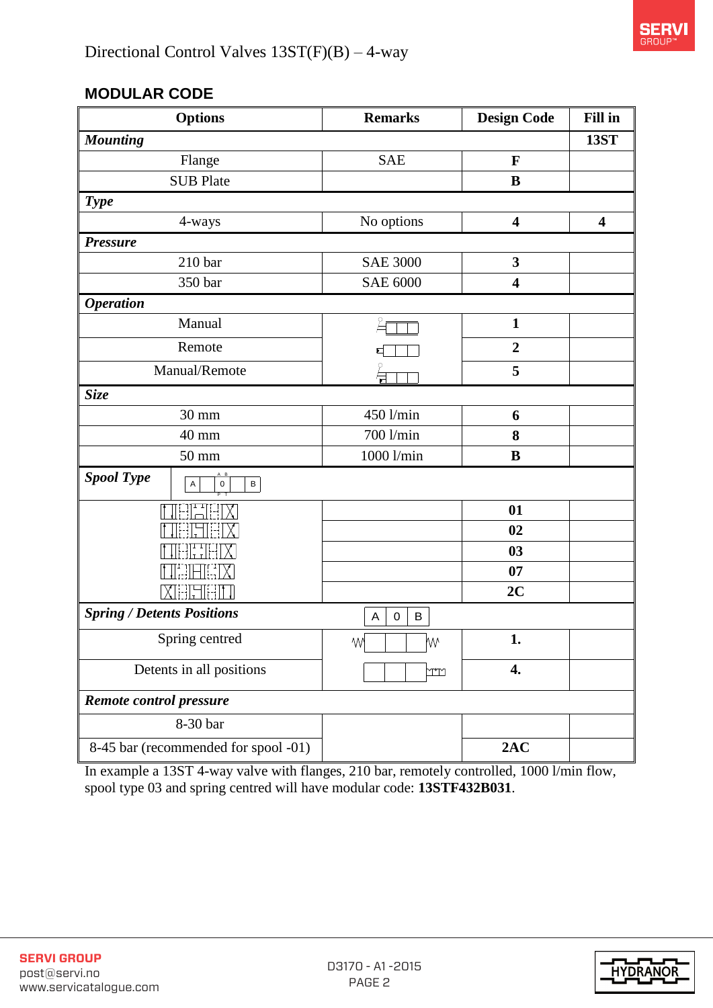

## **MODULAR CODE**

| <b>Options</b>                                               | <b>Remarks</b>          | <b>Design Code</b>      | Fill in                 |
|--------------------------------------------------------------|-------------------------|-------------------------|-------------------------|
| <b>Mounting</b>                                              |                         |                         | <b>13ST</b>             |
| Flange                                                       | <b>SAE</b>              | F                       |                         |
| <b>SUB Plate</b>                                             |                         | B                       |                         |
| <b>Type</b>                                                  |                         |                         |                         |
| 4-ways                                                       | No options              | $\overline{\mathbf{4}}$ | $\overline{\mathbf{4}}$ |
| <b>Pressure</b>                                              |                         |                         |                         |
| 210 <sub>bar</sub>                                           | <b>SAE 3000</b>         | $\mathbf{3}$            |                         |
| 350 bar                                                      | <b>SAE 6000</b>         | $\overline{\mathbf{4}}$ |                         |
| <b>Operation</b>                                             |                         |                         |                         |
| Manual                                                       |                         | $\mathbf{1}$            |                         |
| Remote                                                       |                         | $\overline{2}$          |                         |
| Manual/Remote                                                |                         | 5                       |                         |
| <b>Size</b>                                                  |                         |                         |                         |
| 30 mm                                                        | 450 l/min               | 6                       |                         |
| 40 mm                                                        | 700 l/min<br>8          |                         |                         |
| 50 mm                                                        | 1000 l/min<br>$\bf{B}$  |                         |                         |
| <b>Spool Type</b><br>$\sf{B}$<br>$\overline{A}$<br>$\pmb{0}$ |                         |                         |                         |
|                                                              |                         | 01                      |                         |
|                                                              |                         | 02                      |                         |
|                                                              |                         | 03                      |                         |
|                                                              |                         | 07                      |                         |
| li-il                                                        |                         | 2C                      |                         |
| <b>Spring / Detents Positions</b>                            | $\sf B$<br>A<br>$\,0\,$ |                         |                         |
| Spring centred                                               | <b>W</b><br>M٨          | 1.                      |                         |
| Detents in all positions                                     | rr                      | $\boldsymbol{4}$ .      |                         |
| Remote control pressure                                      |                         |                         |                         |
| 8-30 bar                                                     |                         |                         |                         |
| 8-45 bar (recommended for spool -01)                         |                         | 2AC                     |                         |

In example a 13ST 4-way valve with flanges, 210 bar, remotely controlled, 1000 l/min flow, spool type 03 and spring centred will have modular code: **13STF432B031**.

| <b>SERVI GROUP</b>     |
|------------------------|
| post@servi.no          |
| www.servicatalogue.com |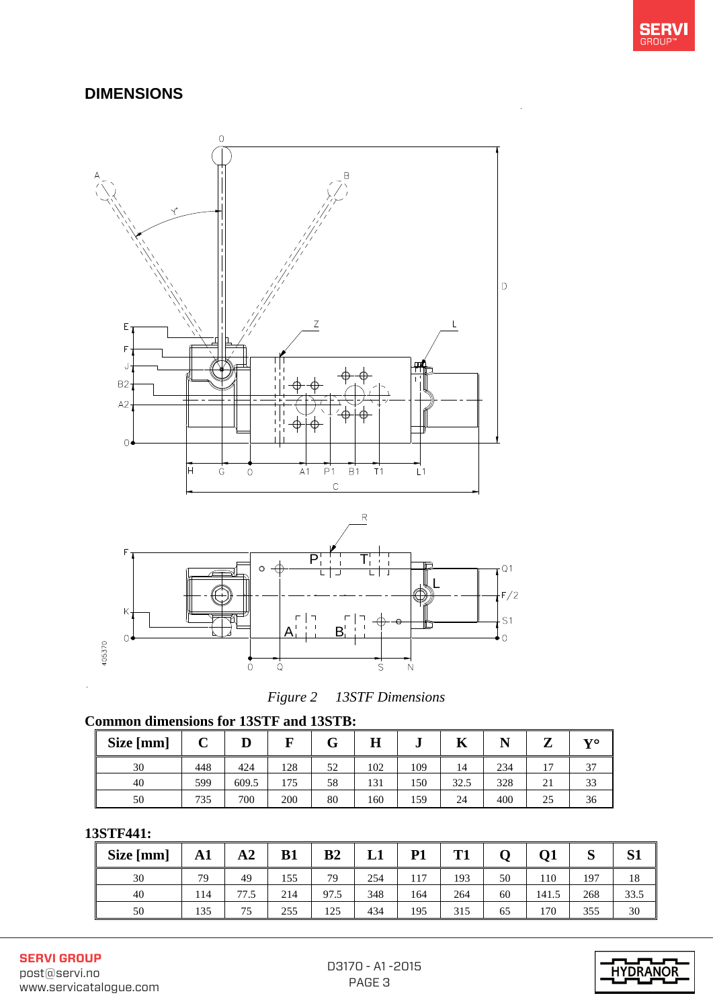

## **DIMENSIONS**





#### **Common dimensions for 13STF and 13STB:**

| Size [mm] | $\mathbf{r}$<br>ັ | IJ    | R   | ⌒<br>v | Η   | u   | n    |     | 7  | 870 |
|-----------|-------------------|-------|-----|--------|-----|-----|------|-----|----|-----|
| 30        | 448               | 424   | 128 | 52     | 102 | 109 | 14   | 234 | G  | 27  |
| 40        | 599               | 609.5 | 175 | 58     | 131 | 150 | 32.5 | 328 | 21 | 33  |
| 50        | 735               | 700   | 200 | 80     | 160 | 159 | 24   | 400 | 25 | 36  |

#### **13STF441:**

| Size [mm] | A1  | ${\bf A2}$ | <b>B1</b> | B <sub>2</sub> | ப   | <b>P1</b> | т1  |    | <b>O1</b> | $\sim$<br>N | C1 1<br>ЮI |
|-----------|-----|------------|-----------|----------------|-----|-----------|-----|----|-----------|-------------|------------|
| 30        | 79  | 49         | 155       | 79             | 254 | 117       | 193 | 50 | 110       | 197         | 18         |
| 40        | 114 | 77.5       | 214       | 97.5           | 348 | 164       | 264 | 60 | 141.5     | 268         | 33.5       |
| 50        | 135 | 75         | 255       | 125            | 434 | 195       | 315 | 65 | 170       | 355         | 30         |

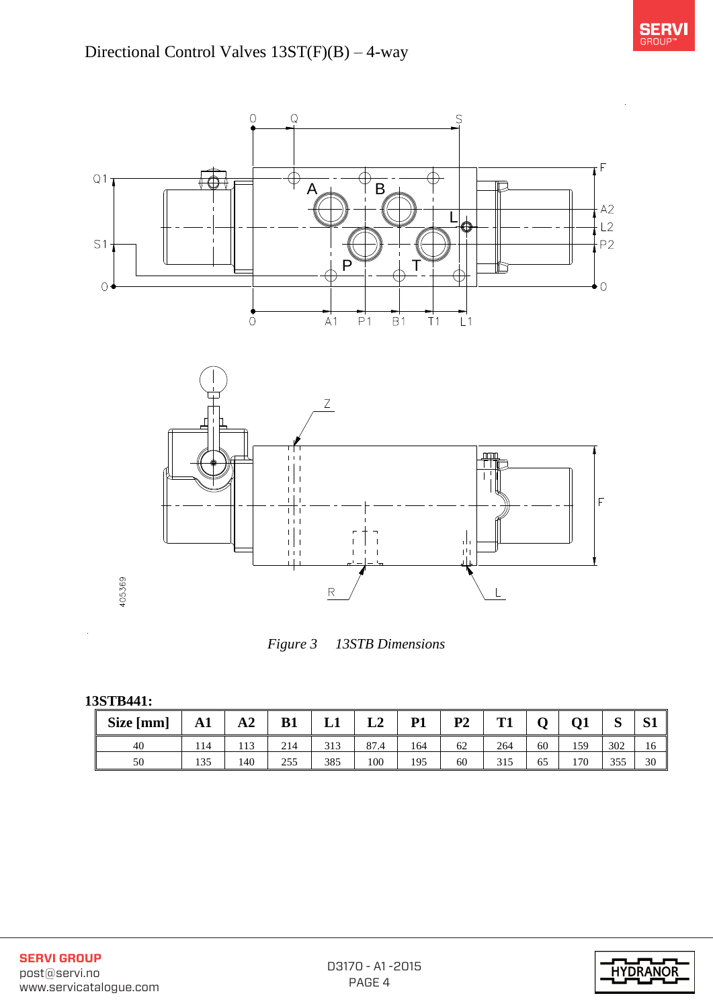





*Figure 3 13STB Dimensions* 

**13STB441:** 

| Size [mm] | A1  | ${\bf A2}$ | <b>B1</b> | L1  | L2                     | P <sub>1</sub> | P <sub>2</sub> | Т1  |    | Q1  | C<br>N | c۱<br>IJΙ |
|-----------|-----|------------|-----------|-----|------------------------|----------------|----------------|-----|----|-----|--------|-----------|
| 40        | 114 | 113        | 214       | 313 | O <sub>7</sub><br>87.4 | 164            | 62             | 264 | 60 | 159 | 302    | 16        |
| 50        | 135 | 140        | 255       | 385 | 100                    | 195            | 60             | 315 | 65 | 170 | 355    | 30        |

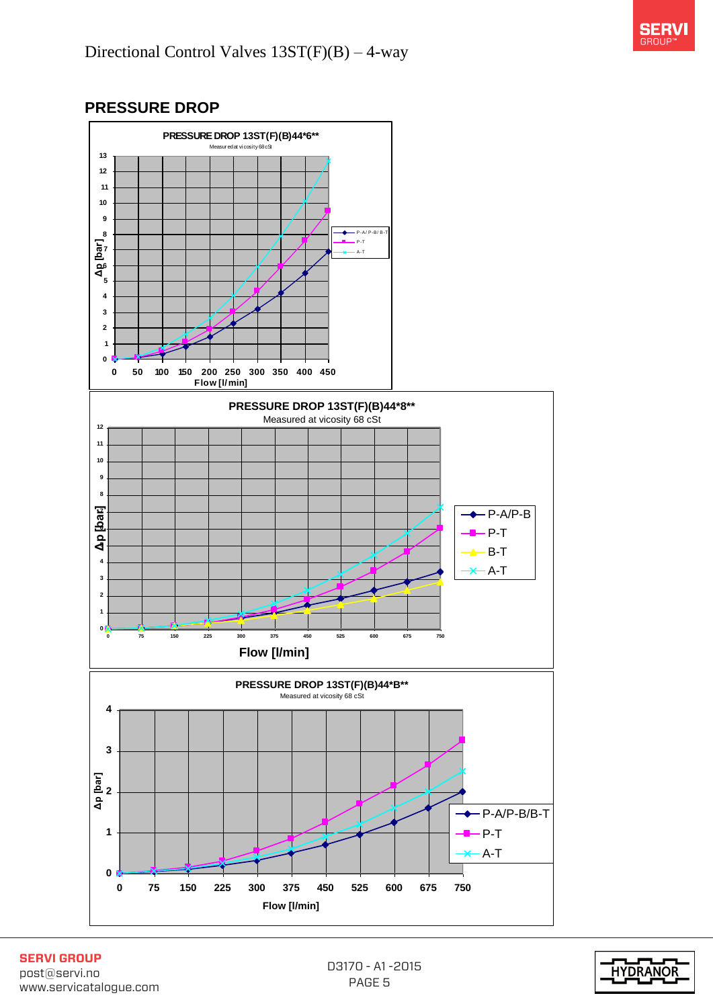## **PRESSURE DROP**



**SERVI GROUP** post@servi.no www.servicatalogue.com

D3170 - A1 -2015 PAGE 5

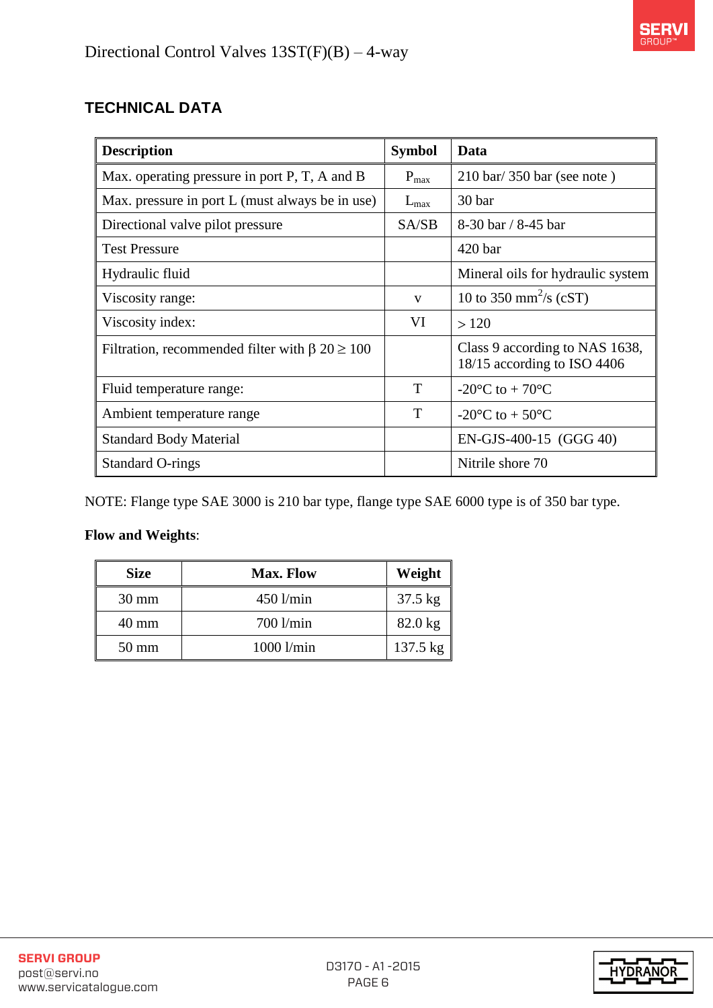## **TECHNICAL DATA**

| <b>Description</b>                                        | <b>Symbol</b> | Data                                                          |
|-----------------------------------------------------------|---------------|---------------------------------------------------------------|
| Max. operating pressure in port P, T, A and B             | $P_{max}$     | $210 \text{ bar} / 350 \text{ bar}$ (see note)                |
| Max. pressure in port L (must always be in use)           | $L_{\rm max}$ | 30 bar                                                        |
| Directional valve pilot pressure                          | SA/SB         | $8-30$ bar / $8-45$ bar                                       |
| <b>Test Pressure</b>                                      |               | 420 <sub>bar</sub>                                            |
| Hydraulic fluid                                           |               | Mineral oils for hydraulic system                             |
| Viscosity range:                                          | V             | 10 to 350 mm <sup>2</sup> /s (cST)                            |
| Viscosity index:                                          | VI            | >120                                                          |
| Filtration, recommended filter with $\beta$ 20 $\geq$ 100 |               | Class 9 according to NAS 1638,<br>18/15 according to ISO 4406 |
| Fluid temperature range:                                  | T             | -20 $\rm{^{\circ}C}$ to + 70 $\rm{^{\circ}C}$                 |
| Ambient temperature range                                 | T             | -20 $\rm{^{\circ}C}$ to + 50 $\rm{^{\circ}C}$                 |
| <b>Standard Body Material</b>                             |               | EN-GJS-400-15 (GGG 40)                                        |
| <b>Standard O-rings</b>                                   |               | Nitrile shore 70                                              |

NOTE: Flange type SAE 3000 is 210 bar type, flange type SAE 6000 type is of 350 bar type.

#### **Flow and Weights**:

| <b>Size</b>     | <b>Max. Flow</b> | Weight            |
|-----------------|------------------|-------------------|
| $30 \text{ mm}$ | $450$ l/min      | $37.5 \text{ kg}$ |
| $40 \text{ mm}$ | 700 l/min        | $82.0$ kg         |
| $50 \text{ mm}$ | 1000 l/min       | 137.5 kg          |

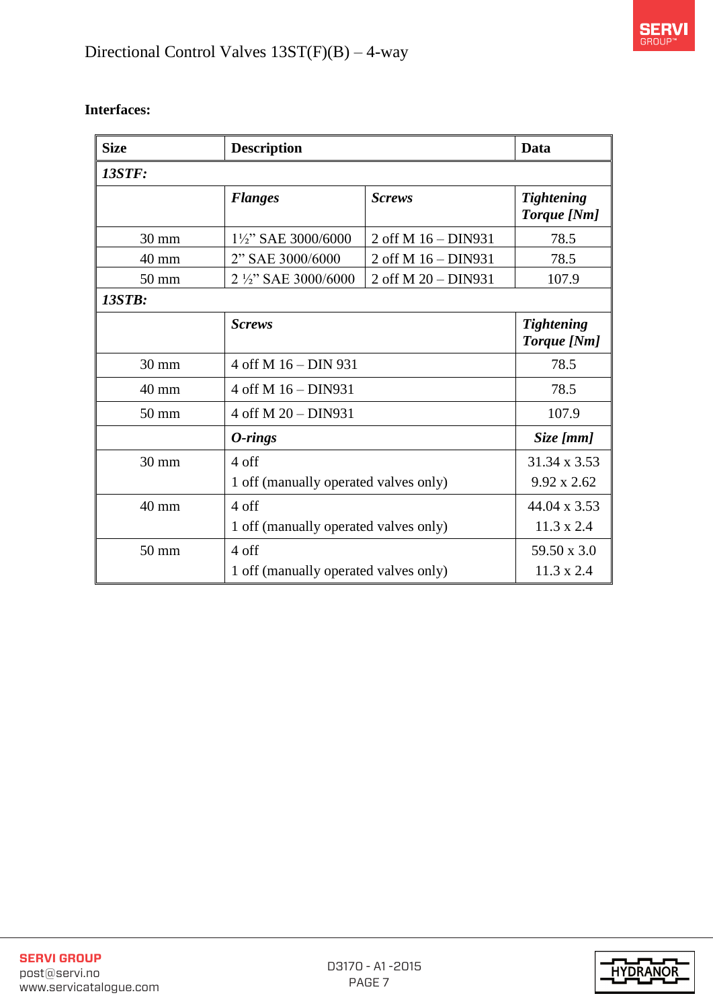

| <b>Size</b>     | <b>Description</b>                    |                                       |                                  |  |  |  |  |  |
|-----------------|---------------------------------------|---------------------------------------|----------------------------------|--|--|--|--|--|
| <b>13STF:</b>   |                                       |                                       |                                  |  |  |  |  |  |
|                 | <b>Flanges</b>                        | <b>Screws</b>                         | <b>Tightening</b><br>Torque [Nm] |  |  |  |  |  |
| $30 \text{ mm}$ | 1½" SAE 3000/6000                     | 2 off M 16 - DIN931                   | 78.5                             |  |  |  |  |  |
| 40 mm           | 2" SAE 3000/6000                      | 2 off M 16 - DIN931                   | 78.5                             |  |  |  |  |  |
| 50 mm           | 2 1/2" SAE 3000/6000                  | 2 off M 20 - DIN931                   | 107.9                            |  |  |  |  |  |
| <b>13STB:</b>   |                                       |                                       |                                  |  |  |  |  |  |
|                 | <b>Screws</b>                         |                                       |                                  |  |  |  |  |  |
| $30 \text{ mm}$ | 4 off M 16 - DIN 931                  |                                       |                                  |  |  |  |  |  |
| $40 \text{ mm}$ | 4 off M 16 - DIN931                   |                                       |                                  |  |  |  |  |  |
| $50 \text{ mm}$ | 4 off M 20 - DIN931                   |                                       | 107.9                            |  |  |  |  |  |
|                 | $0$ -rings                            |                                       | Size [mm]                        |  |  |  |  |  |
| 30 mm           | 4 off                                 |                                       | 31.34 x 3.53                     |  |  |  |  |  |
|                 |                                       | 1 off (manually operated valves only) |                                  |  |  |  |  |  |
| 40 mm           | 4 off                                 |                                       |                                  |  |  |  |  |  |
|                 |                                       | 1 off (manually operated valves only) |                                  |  |  |  |  |  |
| $50 \text{ mm}$ | 4 off                                 |                                       | 59.50 x 3.0                      |  |  |  |  |  |
|                 | 1 off (manually operated valves only) |                                       | $11.3 \times 2.4$                |  |  |  |  |  |

#### **Interfaces:**